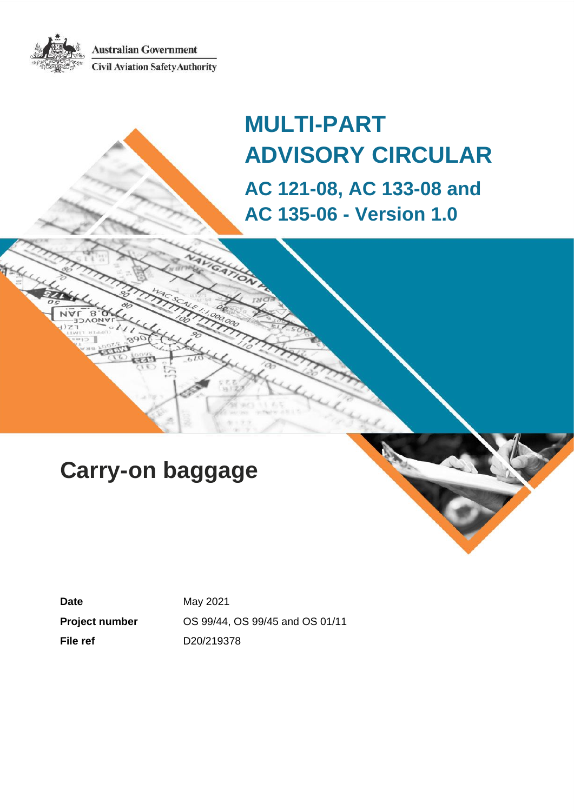**Australian Government Civil Aviation Safety Authority** 

# **MULTI-PART ADVISORY CIRCULAR AC 121-08, AC 133-08 and**

**AC 135-06 - Version 1.0**

# **Carry-on baggage**

Date May 2021 **Project number** OS 99/44, OS 99/45 and OS 01/11 **File ref** D20/219378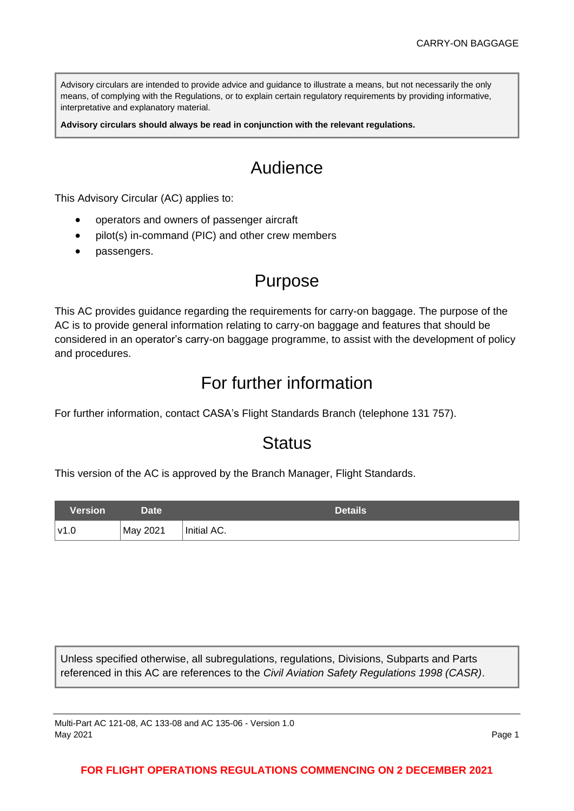Advisory circulars are intended to provide advice and guidance to illustrate a means, but not necessarily the only means, of complying with the Regulations, or to explain certain regulatory requirements by providing informative, interpretative and explanatory material.

**Advisory circulars should always be read in conjunction with the relevant regulations.**

# Audience

This Advisory Circular (AC) applies to:

- operators and owners of passenger aircraft
- pilot(s) in-command (PIC) and other crew members
- passengers.

### Purpose

This AC provides guidance regarding the requirements for carry-on baggage. The purpose of the AC is to provide general information relating to carry-on baggage and features that should be considered in an operator's carry-on baggage programme, to assist with the development of policy and procedures.

# For further information

For further information, contact CASA's Flight Standards Branch (telephone 131 757).

### **Status**

This version of the AC is approved by the Branch Manager, Flight Standards.

| Version | <b>Date</b> | <b>Details</b> |
|---------|-------------|----------------|
| v1.0    | May 2021    | Initial AC.    |

Unless specified otherwise, all subregulations, regulations, Divisions, Subparts and Parts referenced in this AC are references to the *Civil Aviation Safety Regulations 1998 (CASR)*.

Multi-Part AC 121-08, AC 133-08 and AC 135-06 - Version 1.0 May 2021 Page 1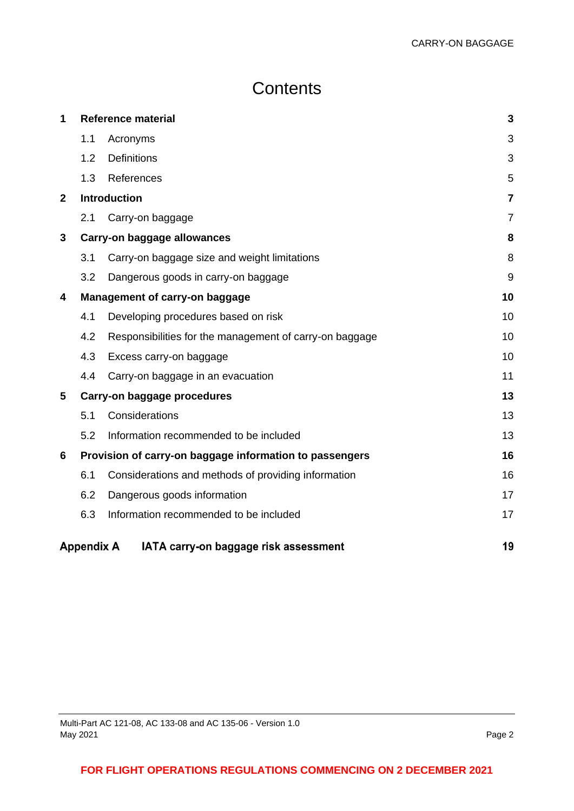# **Contents**

| 1            | <b>Reference material</b>   |                                                         | 3              |
|--------------|-----------------------------|---------------------------------------------------------|----------------|
|              | 1.1                         | Acronyms                                                | 3              |
|              | 1.2                         | <b>Definitions</b>                                      | 3              |
|              | 1.3                         | References                                              | 5              |
| $\mathbf{2}$ |                             | <b>Introduction</b>                                     | $\overline{7}$ |
|              | 2.1                         | Carry-on baggage                                        | $\overline{7}$ |
| 3            | Carry-on baggage allowances |                                                         | 8              |
|              | 3.1                         | Carry-on baggage size and weight limitations            | 8              |
|              | 3.2                         | Dangerous goods in carry-on baggage                     | 9              |
| 4            |                             | Management of carry-on baggage                          | 10             |
|              | 4.1                         | Developing procedures based on risk                     | 10             |
|              | 4.2                         | Responsibilities for the management of carry-on baggage | 10             |
|              | 4.3                         | Excess carry-on baggage                                 | 10             |
|              | 4.4                         | Carry-on baggage in an evacuation                       | 11             |
| 5            |                             | Carry-on baggage procedures                             | 13             |
|              | 5.1                         | Considerations                                          | 13             |
|              | 5.2                         | Information recommended to be included                  | 13             |
| 6            |                             | Provision of carry-on baggage information to passengers | 16             |
|              | 6.1                         | Considerations and methods of providing information     | 16             |
|              | 6.2                         | Dangerous goods information                             | 17             |
|              | 6.3                         | Information recommended to be included                  | 17             |
|              | <b>Appendix A</b>           | IATA carry-on baggage risk assessment                   | 19             |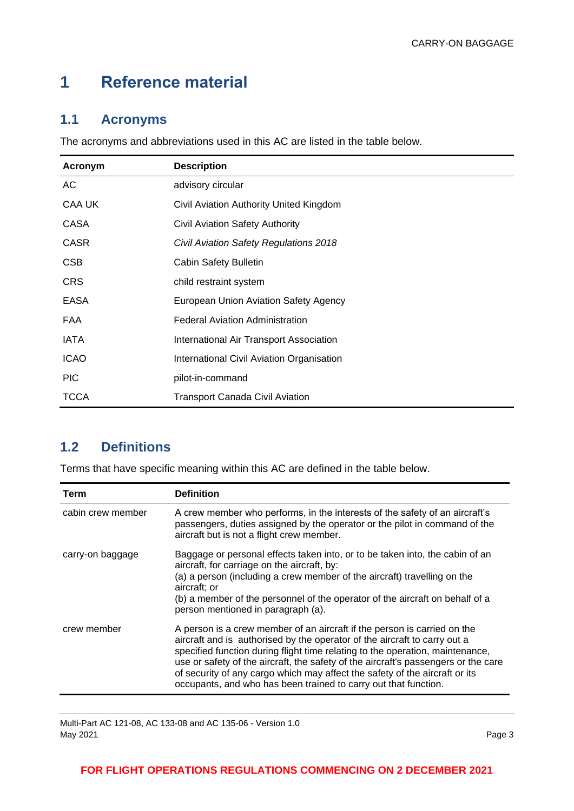# <span id="page-3-0"></span>**1 Reference material**

#### <span id="page-3-1"></span>**1.1 Acronyms**

The acronyms and abbreviations used in this AC are listed in the table below.

| Acronym     | <b>Description</b>                        |
|-------------|-------------------------------------------|
| AC          | advisory circular                         |
| CAA UK      | Civil Aviation Authority United Kingdom   |
| CASA        | Civil Aviation Safety Authority           |
| <b>CASR</b> | Civil Aviation Safety Regulations 2018    |
| <b>CSB</b>  | <b>Cabin Safety Bulletin</b>              |
| <b>CRS</b>  | child restraint system                    |
| <b>EASA</b> | European Union Aviation Safety Agency     |
| <b>FAA</b>  | <b>Federal Aviation Administration</b>    |
| <b>IATA</b> | International Air Transport Association   |
| <b>ICAO</b> | International Civil Aviation Organisation |
| <b>PIC</b>  | pilot-in-command                          |
| <b>TCCA</b> | <b>Transport Canada Civil Aviation</b>    |

#### <span id="page-3-2"></span>**1.2 Definitions**

Terms that have specific meaning within this AC are defined in the table below.

| Term              | <b>Definition</b>                                                                                                                                                                                                                                                                                                                                                                                                                                                              |
|-------------------|--------------------------------------------------------------------------------------------------------------------------------------------------------------------------------------------------------------------------------------------------------------------------------------------------------------------------------------------------------------------------------------------------------------------------------------------------------------------------------|
| cabin crew member | A crew member who performs, in the interests of the safety of an aircraft's<br>passengers, duties assigned by the operator or the pilot in command of the<br>aircraft but is not a flight crew member.                                                                                                                                                                                                                                                                         |
| carry-on baggage  | Baggage or personal effects taken into, or to be taken into, the cabin of an<br>aircraft, for carriage on the aircraft, by:<br>(a) a person (including a crew member of the aircraft) travelling on the<br>aircraft; or<br>(b) a member of the personnel of the operator of the aircraft on behalf of a<br>person mentioned in paragraph (a).                                                                                                                                  |
| crew member       | A person is a crew member of an aircraft if the person is carried on the<br>aircraft and is authorised by the operator of the aircraft to carry out a<br>specified function during flight time relating to the operation, maintenance,<br>use or safety of the aircraft, the safety of the aircraft's passengers or the care<br>of security of any cargo which may affect the safety of the aircraft or its<br>occupants, and who has been trained to carry out that function. |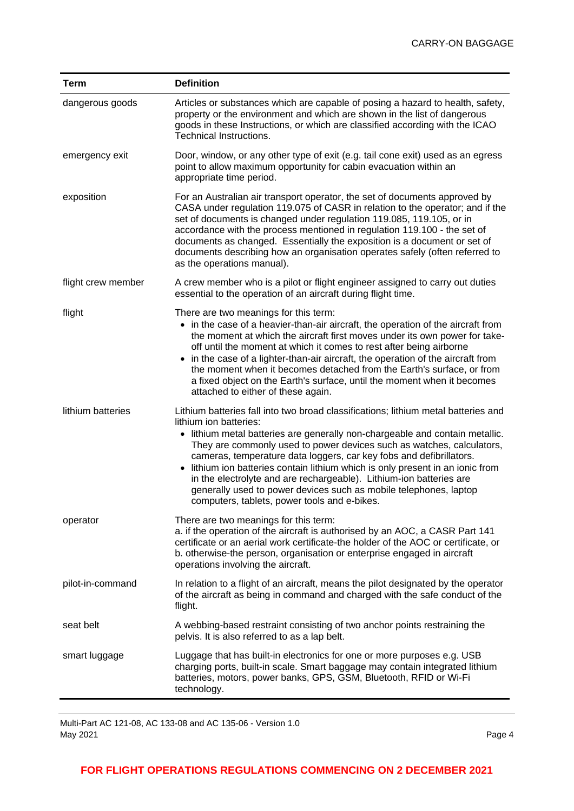| <b>Term</b>        | <b>Definition</b>                                                                                                                                                                                                                                                                                                                                                                                                                                                                                                                                                                                                          |
|--------------------|----------------------------------------------------------------------------------------------------------------------------------------------------------------------------------------------------------------------------------------------------------------------------------------------------------------------------------------------------------------------------------------------------------------------------------------------------------------------------------------------------------------------------------------------------------------------------------------------------------------------------|
| dangerous goods    | Articles or substances which are capable of posing a hazard to health, safety,<br>property or the environment and which are shown in the list of dangerous<br>goods in these Instructions, or which are classified according with the ICAO<br>Technical Instructions.                                                                                                                                                                                                                                                                                                                                                      |
| emergency exit     | Door, window, or any other type of exit (e.g. tail cone exit) used as an egress<br>point to allow maximum opportunity for cabin evacuation within an<br>appropriate time period.                                                                                                                                                                                                                                                                                                                                                                                                                                           |
| exposition         | For an Australian air transport operator, the set of documents approved by<br>CASA under regulation 119.075 of CASR in relation to the operator; and if the<br>set of documents is changed under regulation 119.085, 119.105, or in<br>accordance with the process mentioned in regulation 119.100 - the set of<br>documents as changed. Essentially the exposition is a document or set of<br>documents describing how an organisation operates safely (often referred to<br>as the operations manual).                                                                                                                   |
| flight crew member | A crew member who is a pilot or flight engineer assigned to carry out duties<br>essential to the operation of an aircraft during flight time.                                                                                                                                                                                                                                                                                                                                                                                                                                                                              |
| flight             | There are two meanings for this term:<br>• in the case of a heavier-than-air aircraft, the operation of the aircraft from<br>the moment at which the aircraft first moves under its own power for take-<br>off until the moment at which it comes to rest after being airborne<br>• in the case of a lighter-than-air aircraft, the operation of the aircraft from<br>the moment when it becomes detached from the Earth's surface, or from<br>a fixed object on the Earth's surface, until the moment when it becomes<br>attached to either of these again.                                                               |
| lithium batteries  | Lithium batteries fall into two broad classifications; lithium metal batteries and<br>lithium ion batteries:<br>• lithium metal batteries are generally non-chargeable and contain metallic.<br>They are commonly used to power devices such as watches, calculators,<br>cameras, temperature data loggers, car key fobs and defibrillators.<br>• lithium ion batteries contain lithium which is only present in an ionic from<br>in the electrolyte and are rechargeable). Lithium-ion batteries are<br>generally used to power devices such as mobile telephones, laptop<br>computers, tablets, power tools and e-bikes. |
| operator           | There are two meanings for this term:<br>a. if the operation of the aircraft is authorised by an AOC, a CASR Part 141<br>certificate or an aerial work certificate-the holder of the AOC or certificate, or<br>b. otherwise-the person, organisation or enterprise engaged in aircraft<br>operations involving the aircraft.                                                                                                                                                                                                                                                                                               |
| pilot-in-command   | In relation to a flight of an aircraft, means the pilot designated by the operator<br>of the aircraft as being in command and charged with the safe conduct of the<br>flight.                                                                                                                                                                                                                                                                                                                                                                                                                                              |
| seat belt          | A webbing-based restraint consisting of two anchor points restraining the<br>pelvis. It is also referred to as a lap belt.                                                                                                                                                                                                                                                                                                                                                                                                                                                                                                 |
| smart luggage      | Luggage that has built-in electronics for one or more purposes e.g. USB<br>charging ports, built-in scale. Smart baggage may contain integrated lithium<br>batteries, motors, power banks, GPS, GSM, Bluetooth, RFID or Wi-Fi<br>technology.                                                                                                                                                                                                                                                                                                                                                                               |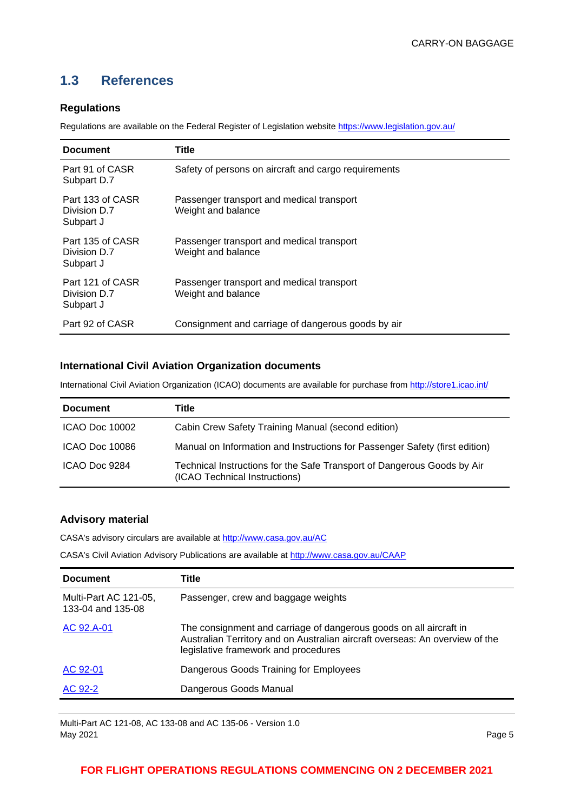#### <span id="page-5-0"></span>**1.3 References**

#### **Regulations**

Regulations are available on the Federal Register of Legislation website<https://www.legislation.gov.au/>

| <b>Document</b>                               | <b>Title</b>                                                    |
|-----------------------------------------------|-----------------------------------------------------------------|
| Part 91 of CASR<br>Subpart D.7                | Safety of persons on aircraft and cargo requirements            |
| Part 133 of CASR<br>Division D.7<br>Subpart J | Passenger transport and medical transport<br>Weight and balance |
| Part 135 of CASR<br>Division D.7<br>Subpart J | Passenger transport and medical transport<br>Weight and balance |
| Part 121 of CASR<br>Division D.7<br>Subpart J | Passenger transport and medical transport<br>Weight and balance |
| Part 92 of CASR                               | Consignment and carriage of dangerous goods by air              |

#### **International Civil Aviation Organization documents**

International Civil Aviation Organization (ICAO) documents are available for purchase from<http://store1.icao.int/>

| <b>Document</b> | Title                                                                                                    |
|-----------------|----------------------------------------------------------------------------------------------------------|
| ICAO Doc 10002  | Cabin Crew Safety Training Manual (second edition)                                                       |
| ICAO Doc 10086  | Manual on Information and Instructions for Passenger Safety (first edition)                              |
| ICAO Doc 9284   | Technical Instructions for the Safe Transport of Dangerous Goods by Air<br>(ICAO Technical Instructions) |

#### **Advisory material**

CASA's advisory circulars are available at [http://www.casa.gov.au/AC](http://www.casa.gov.au/ACs)

CASA's Civil Aviation Advisory Publications are available at [http://www.casa.gov.au/CAAP](http://www.casa.gov.au/CAAPs)

| <b>Document</b>                            | Title                                                                                                                                                                                      |
|--------------------------------------------|--------------------------------------------------------------------------------------------------------------------------------------------------------------------------------------------|
| Multi-Part AC 121-05,<br>133-04 and 135-08 | Passenger, crew and baggage weights                                                                                                                                                        |
| AC 92.A-01                                 | The consignment and carriage of dangerous goods on all aircraft in<br>Australian Territory and on Australian aircraft overseas: An overview of the<br>legislative framework and procedures |
| AC 92-01                                   | Dangerous Goods Training for Employees                                                                                                                                                     |
| AC 92-2                                    | Dangerous Goods Manual                                                                                                                                                                     |

Multi-Part AC 121-08, AC 133-08 and AC 135-06 - Version 1.0 May 2021 Page 5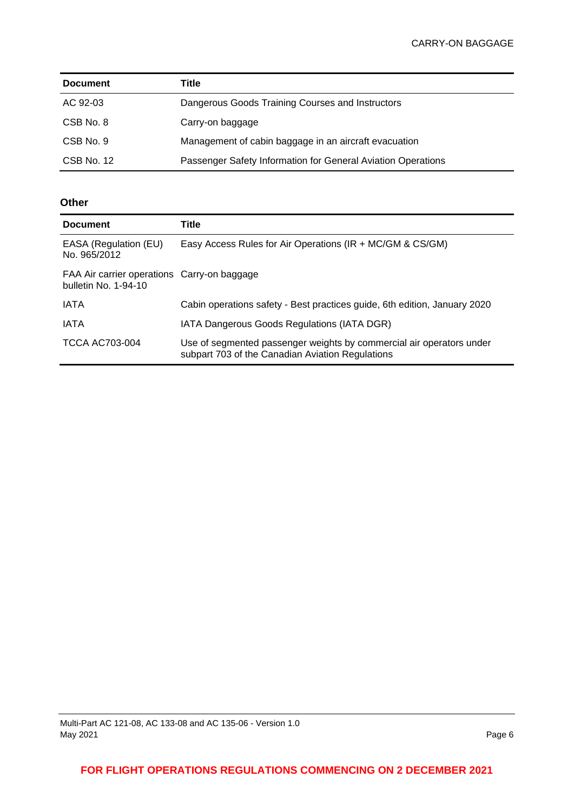| <b>Document</b> | Title                                                        |
|-----------------|--------------------------------------------------------------|
| AC 92-03        | Dangerous Goods Training Courses and Instructors             |
| CSB No. 8       | Carry-on baggage                                             |
| CSB No. 9       | Management of cabin baggage in an aircraft evacuation        |
| CSB No. 12      | Passenger Safety Information for General Aviation Operations |

#### **Other**

| <b>Document</b>                                                     | Title                                                                                                                    |
|---------------------------------------------------------------------|--------------------------------------------------------------------------------------------------------------------------|
| EASA (Regulation (EU)<br>No. 965/2012                               | Easy Access Rules for Air Operations (IR + MC/GM & CS/GM)                                                                |
| FAA Air carrier operations Carry-on baggage<br>bulletin No. 1-94-10 |                                                                                                                          |
| <b>IATA</b>                                                         | Cabin operations safety - Best practices guide, 6th edition, January 2020                                                |
| IATA                                                                | IATA Dangerous Goods Regulations (IATA DGR)                                                                              |
| TCCA AC703-004                                                      | Use of segmented passenger weights by commercial air operators under<br>subpart 703 of the Canadian Aviation Regulations |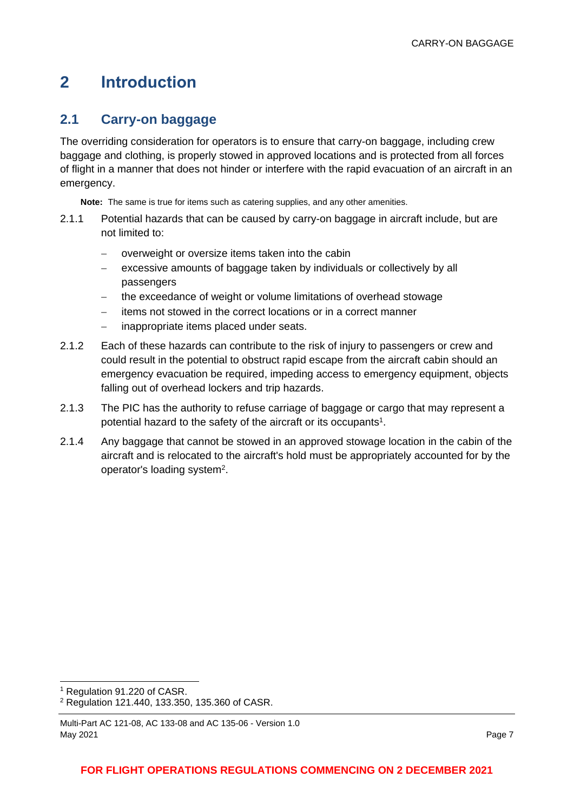## <span id="page-7-0"></span>**2 Introduction**

#### <span id="page-7-1"></span>**2.1 Carry-on baggage**

The overriding consideration for operators is to ensure that carry-on baggage, including crew baggage and clothing, is properly stowed in approved locations and is protected from all forces of flight in a manner that does not hinder or interfere with the rapid evacuation of an aircraft in an emergency.

**Note:** The same is true for items such as catering supplies, and any other amenities.

- 2.1.1 Potential hazards that can be caused by carry-on baggage in aircraft include, but are not limited to:
	- − overweight or oversize items taken into the cabin
	- excessive amounts of baggage taken by individuals or collectively by all passengers
	- the exceedance of weight or volume limitations of overhead stowage
	- items not stowed in the correct locations or in a correct manner
	- − inappropriate items placed under seats.
- 2.1.2 Each of these hazards can contribute to the risk of injury to passengers or crew and could result in the potential to obstruct rapid escape from the aircraft cabin should an emergency evacuation be required, impeding access to emergency equipment, objects falling out of overhead lockers and trip hazards.
- 2.1.3 The PIC has the authority to refuse carriage of baggage or cargo that may represent a potential hazard to the safety of the aircraft or its occupants<sup>1</sup>.
- 2.1.4 Any baggage that cannot be stowed in an approved stowage location in the cabin of the aircraft and is relocated to the aircraft's hold must be appropriately accounted for by the operator's loading system<sup>2</sup>.

<sup>1</sup> Regulation 91.220 of CASR.

<sup>2</sup> Regulation 121.440, 133.350, 135.360 of CASR.

Multi-Part AC 121-08, AC 133-08 and AC 135-06 - Version 1.0 May 2021 Page 7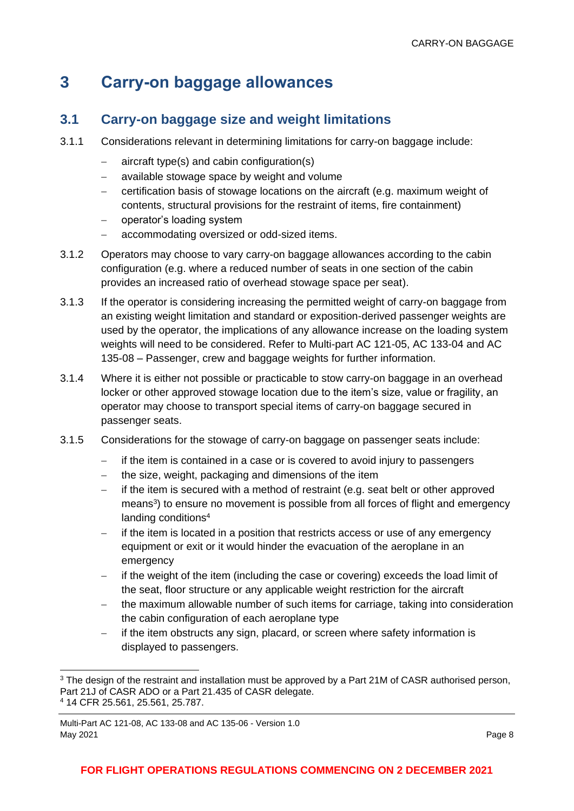### <span id="page-8-0"></span>**3 Carry-on baggage allowances**

#### <span id="page-8-1"></span>**3.1 Carry-on baggage size and weight limitations**

- 3.1.1 Considerations relevant in determining limitations for carry-on baggage include:
	- − aircraft type(s) and cabin configuration(s)
	- − available stowage space by weight and volume
	- − certification basis of stowage locations on the aircraft (e.g. maximum weight of contents, structural provisions for the restraint of items, fire containment)
	- − operator's loading system
	- − accommodating oversized or odd-sized items.
- 3.1.2 Operators may choose to vary carry-on baggage allowances according to the cabin configuration (e.g. where a reduced number of seats in one section of the cabin provides an increased ratio of overhead stowage space per seat).
- 3.1.3 If the operator is considering increasing the permitted weight of carry-on baggage from an existing weight limitation and standard or exposition-derived passenger weights are used by the operator, the implications of any allowance increase on the loading system weights will need to be considered. Refer to Multi-part AC 121-05, AC 133-04 and AC 135-08 – Passenger, crew and baggage weights for further information.
- 3.1.4 Where it is either not possible or practicable to stow carry-on baggage in an overhead locker or other approved stowage location due to the item's size, value or fragility, an operator may choose to transport special items of carry-on baggage secured in passenger seats.
- 3.1.5 Considerations for the stowage of carry-on baggage on passenger seats include:
	- − if the item is contained in a case or is covered to avoid injury to passengers
	- the size, weight, packaging and dimensions of the item
	- − if the item is secured with a method of restraint (e.g. seat belt or other approved means<sup>3</sup>) to ensure no movement is possible from all forces of flight and emergency landing conditions<sup>4</sup>
	- − if the item is located in a position that restricts access or use of any emergency equipment or exit or it would hinder the evacuation of the aeroplane in an emergency
	- − if the weight of the item (including the case or covering) exceeds the load limit of the seat, floor structure or any applicable weight restriction for the aircraft
	- the maximum allowable number of such items for carriage, taking into consideration the cabin configuration of each aeroplane type
	- if the item obstructs any sign, placard, or screen where safety information is displayed to passengers.

<sup>&</sup>lt;sup>3</sup> The design of the restraint and installation must be approved by a Part 21M of CASR authorised person, Part 21J of CASR ADO or a Part 21.435 of CASR delegate. <sup>4</sup> 14 CFR 25.561, 25.561, 25.787.

Multi-Part AC 121-08, AC 133-08 and AC 135-06 - Version 1.0 May 2021 Page 8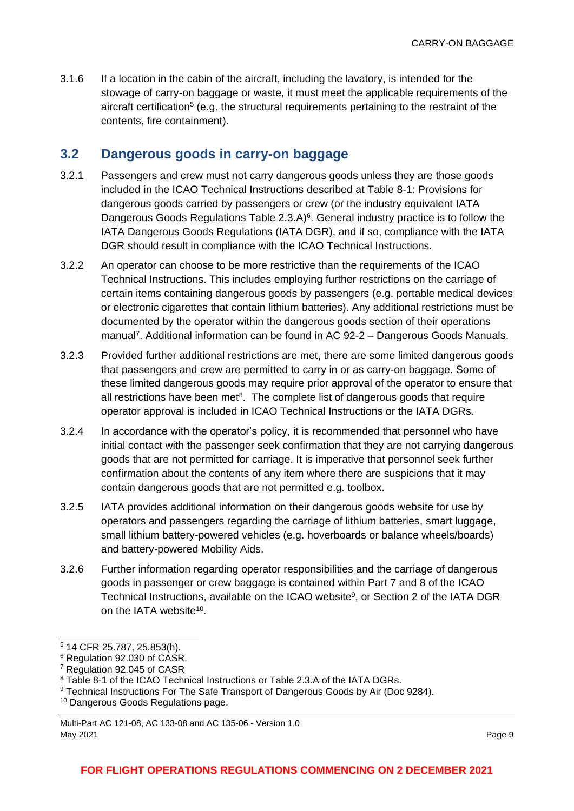3.1.6 If a location in the cabin of the aircraft, including the lavatory, is intended for the stowage of carry-on baggage or waste, it must meet the applicable requirements of the aircraft certification<sup>5</sup> (e.g. the structural requirements pertaining to the restraint of the contents, fire containment).

#### <span id="page-9-0"></span>**3.2 Dangerous goods in carry-on baggage**

- 3.2.1 Passengers and crew must not carry dangerous goods unless they are those goods included in the ICAO Technical Instructions described at Table 8-1: Provisions for dangerous goods carried by passengers or crew (or the industry equivalent IATA Dangerous Goods Regulations Table 2.3.A)<sup>6</sup>. General industry practice is to follow the IATA Dangerous Goods Regulations (IATA DGR), and if so, compliance with the IATA DGR should result in compliance with the ICAO Technical Instructions.
- 3.2.2 An operator can choose to be more restrictive than the requirements of the ICAO Technical Instructions. This includes employing further restrictions on the carriage of certain items containing dangerous goods by passengers (e.g. portable medical devices or electronic cigarettes that contain lithium batteries). Any additional restrictions must be documented by the operator within the dangerous goods section of their operations manual<sup>7</sup>. Additional information can be found in AC 92-2 - Dangerous Goods Manuals.
- 3.2.3 Provided further additional restrictions are met, there are some limited dangerous goods that passengers and crew are permitted to carry in or as carry-on baggage. Some of these limited dangerous goods may require prior approval of the operator to ensure that all restrictions have been met<sup>8</sup>. The complete list of dangerous goods that require operator approval is included in ICAO Technical Instructions or the IATA DGRs.
- 3.2.4 In accordance with the operator's policy, it is recommended that personnel who have initial contact with the passenger seek confirmation that they are not carrying dangerous goods that are not permitted for carriage. It is imperative that personnel seek further confirmation about the contents of any item where there are suspicions that it may contain dangerous goods that are not permitted e.g. toolbox.
- 3.2.5 IATA provides additional information on their dangerous goods website for use by operators and passengers regarding the carriage of lithium batteries, smart luggage, small lithium battery-powered vehicles (e.g. hoverboards or balance wheels/boards) and battery-powered Mobility Aids.
- 3.2.6 Further information regarding operator responsibilities and the carriage of dangerous goods in passenger or crew baggage is contained within Part 7 and 8 of the ICAO Technical Instructions, available on the ICAO website<sup>9</sup>, or Section 2 of the IATA DGR on the IATA website<sup>10</sup>.

<sup>5</sup> 14 CFR 25.787, 25.853(h).

<sup>6</sup> Regulation 92.030 of CASR.

<sup>7</sup> Regulation 92.045 of CASR

<sup>&</sup>lt;sup>8</sup> Table 8-1 of the ICAO Technical Instructions or Table 2.3.A of the IATA DGRs.

<sup>&</sup>lt;sup>9</sup> Technical Instructions For The Safe Transport of Dangerous Goods by Air (Doc 9284).

<sup>10</sup> Dangerous Goods Regulations page.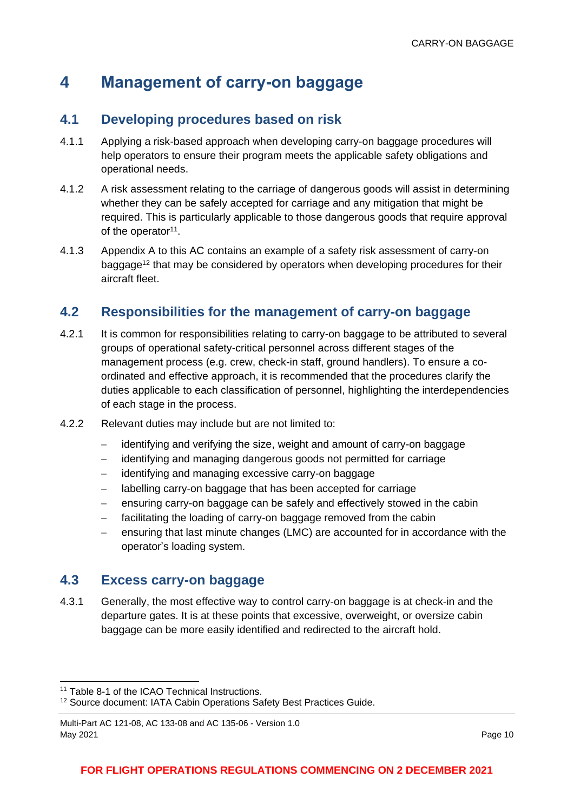## <span id="page-10-0"></span>**4 Management of carry-on baggage**

#### <span id="page-10-1"></span>**4.1 Developing procedures based on risk**

- 4.1.1 Applying a risk-based approach when developing carry-on baggage procedures will help operators to ensure their program meets the applicable safety obligations and operational needs.
- 4.1.2 A risk assessment relating to the carriage of dangerous goods will assist in determining whether they can be safely accepted for carriage and any mitigation that might be required. This is particularly applicable to those dangerous goods that require approval of the operator<sup>11</sup>.
- 4.1.3 Appendix A to this AC contains an example of a safety risk assessment of carry-on baggage<sup>12</sup> that may be considered by operators when developing procedures for their aircraft fleet.

#### <span id="page-10-2"></span>**4.2 Responsibilities for the management of carry-on baggage**

- 4.2.1 It is common for responsibilities relating to carry-on baggage to be attributed to several groups of operational safety-critical personnel across different stages of the management process (e.g. crew, check-in staff, ground handlers). To ensure a coordinated and effective approach, it is recommended that the procedures clarify the duties applicable to each classification of personnel, highlighting the interdependencies of each stage in the process.
- 4.2.2 Relevant duties may include but are not limited to:
	- − identifying and verifying the size, weight and amount of carry-on baggage
	- − identifying and managing dangerous goods not permitted for carriage
	- identifying and managing excessive carry-on baggage
	- − labelling carry-on baggage that has been accepted for carriage
	- ensuring carry-on baggage can be safely and effectively stowed in the cabin
	- facilitating the loading of carry-on baggage removed from the cabin
	- − ensuring that last minute changes (LMC) are accounted for in accordance with the operator's loading system.

#### <span id="page-10-3"></span>**4.3 Excess carry-on baggage**

4.3.1 Generally, the most effective way to control carry-on baggage is at check-in and the departure gates. It is at these points that excessive, overweight, or oversize cabin baggage can be more easily identified and redirected to the aircraft hold.

<sup>&</sup>lt;sup>11</sup> Table 8-1 of the ICAO Technical Instructions.

<sup>&</sup>lt;sup>12</sup> Source document: IATA Cabin Operations Safety Best Practices Guide.

Multi-Part AC 121-08, AC 133-08 and AC 135-06 - Version 1.0 May 2021 Page 10 – Page 10 – Page 10 – Page 10 – Page 10 – Page 10 – Page 10 – Page 10 – Page 10 – Page 10 – Page 10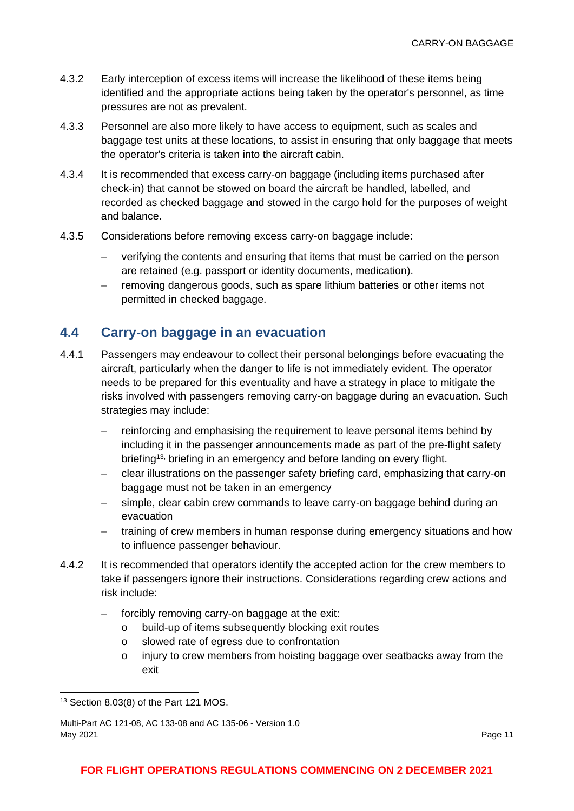- 4.3.2 Early interception of excess items will increase the likelihood of these items being identified and the appropriate actions being taken by the operator's personnel, as time pressures are not as prevalent.
- 4.3.3 Personnel are also more likely to have access to equipment, such as scales and baggage test units at these locations, to assist in ensuring that only baggage that meets the operator's criteria is taken into the aircraft cabin.
- 4.3.4 It is recommended that excess carry-on baggage (including items purchased after check-in) that cannot be stowed on board the aircraft be handled, labelled, and recorded as checked baggage and stowed in the cargo hold for the purposes of weight and balance.
- 4.3.5 Considerations before removing excess carry-on baggage include:
	- verifying the contents and ensuring that items that must be carried on the person are retained (e.g. passport or identity documents, medication).
	- − removing dangerous goods, such as spare lithium batteries or other items not permitted in checked baggage.

#### <span id="page-11-0"></span>**4.4 Carry-on baggage in an evacuation**

- 4.4.1 Passengers may endeavour to collect their personal belongings before evacuating the aircraft, particularly when the danger to life is not immediately evident. The operator needs to be prepared for this eventuality and have a strategy in place to mitigate the risks involved with passengers removing carry-on baggage during an evacuation. Such strategies may include:
	- reinforcing and emphasising the requirement to leave personal items behind by including it in the passenger announcements made as part of the pre-flight safety briefing13, briefing in an emergency and before landing on every flight.
	- − clear illustrations on the passenger safety briefing card, emphasizing that carry-on baggage must not be taken in an emergency
	- simple, clear cabin crew commands to leave carry-on baggage behind during an evacuation
	- − training of crew members in human response during emergency situations and how to influence passenger behaviour.
- 4.4.2 It is recommended that operators identify the accepted action for the crew members to take if passengers ignore their instructions. Considerations regarding crew actions and risk include:
	- forcibly removing carry-on baggage at the exit:
		- o build-up of items subsequently blocking exit routes
		- o slowed rate of egress due to confrontation
		- o injury to crew members from hoisting baggage over seatbacks away from the exit

<sup>13</sup> Section 8.03(8) of the Part 121 MOS.

Multi-Part AC 121-08, AC 133-08 and AC 135-06 - Version 1.0 May 2021 Page 11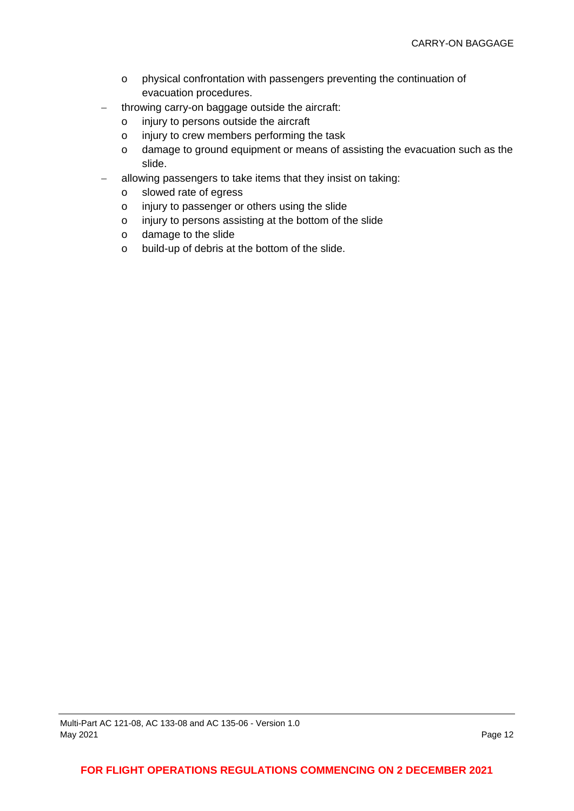- o physical confrontation with passengers preventing the continuation of evacuation procedures.
- throwing carry-on baggage outside the aircraft:
	- o injury to persons outside the aircraft
	- o injury to crew members performing the task
	- o damage to ground equipment or means of assisting the evacuation such as the slide.
- allowing passengers to take items that they insist on taking:
	- o slowed rate of egress
	- o injury to passenger or others using the slide
	- o injury to persons assisting at the bottom of the slide
	- o damage to the slide
	- o build-up of debris at the bottom of the slide.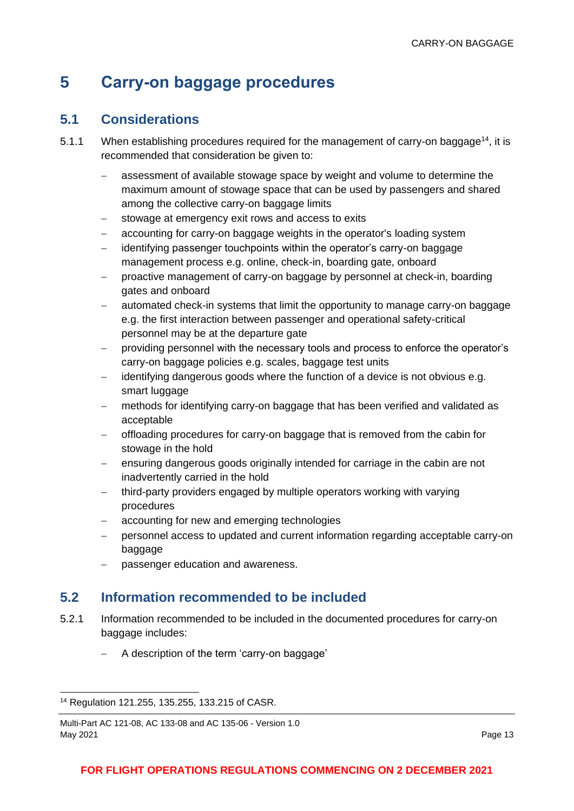# <span id="page-13-0"></span>**5 Carry-on baggage procedures**

#### <span id="page-13-1"></span>**5.1 Considerations**

- 5.1.1 When establishing procedures required for the management of carry-on baggage<sup>14</sup>, it is recommended that consideration be given to:
	- − assessment of available stowage space by weight and volume to determine the maximum amount of stowage space that can be used by passengers and shared among the collective carry-on baggage limits
	- − stowage at emergency exit rows and access to exits
	- accounting for carry-on baggage weights in the operator's loading system
	- identifying passenger touchpoints within the operator's carry-on baggage management process e.g. online, check-in, boarding gate, onboard
	- proactive management of carry-on baggage by personnel at check-in, boarding gates and onboard
	- − automated check-in systems that limit the opportunity to manage carry-on baggage e.g. the first interaction between passenger and operational safety-critical personnel may be at the departure gate
	- − providing personnel with the necessary tools and process to enforce the operator's carry-on baggage policies e.g. scales, baggage test units
	- identifying dangerous goods where the function of a device is not obvious e.g. smart luggage
	- methods for identifying carry-on baggage that has been verified and validated as acceptable
	- − offloading procedures for carry-on baggage that is removed from the cabin for stowage in the hold
	- ensuring dangerous goods originally intended for carriage in the cabin are not inadvertently carried in the hold
	- − third-party providers engaged by multiple operators working with varying procedures
	- accounting for new and emerging technologies
	- − personnel access to updated and current information regarding acceptable carry-on baggage
	- − passenger education and awareness.

#### <span id="page-13-2"></span>**5.2 Information recommended to be included**

- 5.2.1 Information recommended to be included in the documented procedures for carry-on baggage includes:
	- − A description of the term 'carry-on baggage'

<sup>14</sup> Regulation 121.255, 135.255, 133.215 of CASR.

Multi-Part AC 121-08, AC 133-08 and AC 135-06 - Version 1.0 May 2021 Page 13 - Page 13 - Page 13 - Page 13 - Page 14 - Page 14 - Page 14 - Page 14 - Page 15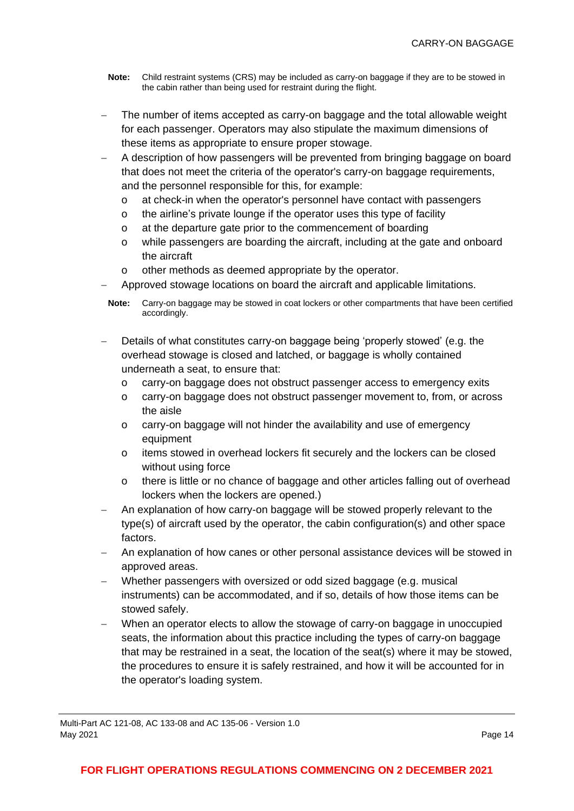- **Note:** Child restraint systems (CRS) may be included as carry-on baggage if they are to be stowed in the cabin rather than being used for restraint during the flight.
- The number of items accepted as carry-on baggage and the total allowable weight for each passenger. Operators may also stipulate the maximum dimensions of these items as appropriate to ensure proper stowage.
- − A description of how passengers will be prevented from bringing baggage on board that does not meet the criteria of the operator's carry-on baggage requirements, and the personnel responsible for this, for example:
	- o at check-in when the operator's personnel have contact with passengers
	- o the airline's private lounge if the operator uses this type of facility
	- o at the departure gate prior to the commencement of boarding
	- o while passengers are boarding the aircraft, including at the gate and onboard the aircraft
	- o other methods as deemed appropriate by the operator.
- − Approved stowage locations on board the aircraft and applicable limitations.
- **Note:** Carry-on baggage may be stowed in coat lockers or other compartments that have been certified accordingly.
- Details of what constitutes carry-on baggage being 'properly stowed' (e.g. the overhead stowage is closed and latched, or baggage is wholly contained underneath a seat, to ensure that:
	- o carry-on baggage does not obstruct passenger access to emergency exits
	- o carry-on baggage does not obstruct passenger movement to, from, or across the aisle
	- o carry-on baggage will not hinder the availability and use of emergency equipment
	- o items stowed in overhead lockers fit securely and the lockers can be closed without using force
	- o there is little or no chance of baggage and other articles falling out of overhead lockers when the lockers are opened.)
- An explanation of how carry-on baggage will be stowed properly relevant to the type(s) of aircraft used by the operator, the cabin configuration(s) and other space factors.
- An explanation of how canes or other personal assistance devices will be stowed in approved areas.
- − Whether passengers with oversized or odd sized baggage (e.g. musical instruments) can be accommodated, and if so, details of how those items can be stowed safely.
- When an operator elects to allow the stowage of carry-on baggage in unoccupied seats, the information about this practice including the types of carry-on baggage that may be restrained in a seat, the location of the seat(s) where it may be stowed, the procedures to ensure it is safely restrained, and how it will be accounted for in the operator's loading system.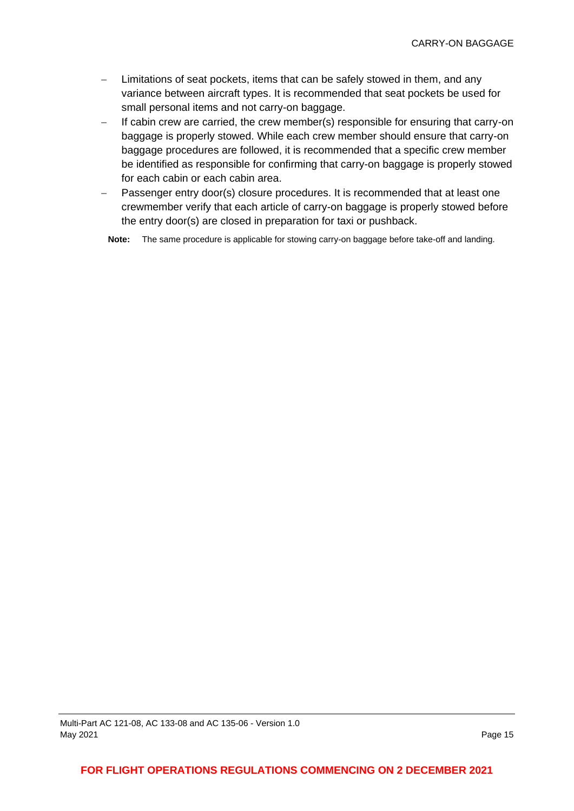- − Limitations of seat pockets, items that can be safely stowed in them, and any variance between aircraft types. It is recommended that seat pockets be used for small personal items and not carry-on baggage.
- − If cabin crew are carried, the crew member(s) responsible for ensuring that carry-on baggage is properly stowed. While each crew member should ensure that carry-on baggage procedures are followed, it is recommended that a specific crew member be identified as responsible for confirming that carry-on baggage is properly stowed for each cabin or each cabin area.
- Passenger entry door(s) closure procedures. It is recommended that at least one crewmember verify that each article of carry-on baggage is properly stowed before the entry door(s) are closed in preparation for taxi or pushback.

**Note:** The same procedure is applicable for stowing carry-on baggage before take-off and landing.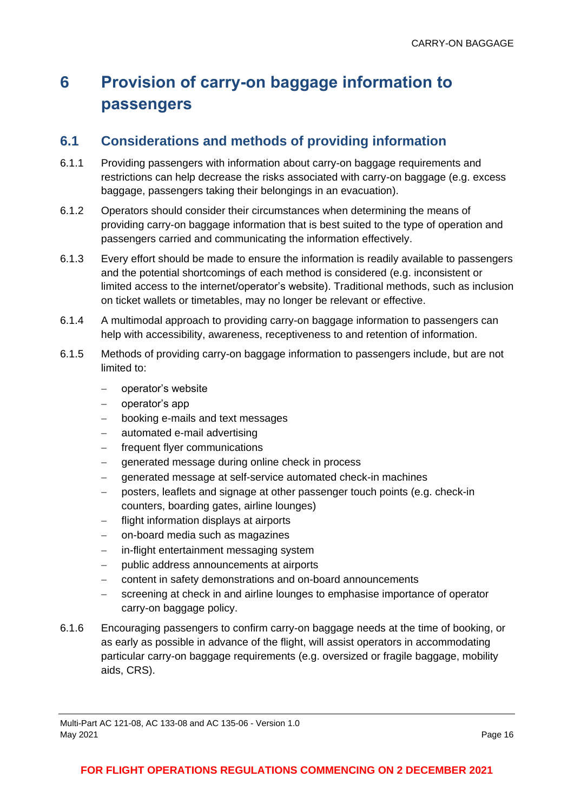# <span id="page-16-0"></span>**6 Provision of carry-on baggage information to passengers**

#### <span id="page-16-1"></span>**6.1 Considerations and methods of providing information**

- 6.1.1 Providing passengers with information about carry-on baggage requirements and restrictions can help decrease the risks associated with carry-on baggage (e.g. excess baggage, passengers taking their belongings in an evacuation).
- 6.1.2 Operators should consider their circumstances when determining the means of providing carry-on baggage information that is best suited to the type of operation and passengers carried and communicating the information effectively.
- 6.1.3 Every effort should be made to ensure the information is readily available to passengers and the potential shortcomings of each method is considered (e.g. inconsistent or limited access to the internet/operator's website). Traditional methods, such as inclusion on ticket wallets or timetables, may no longer be relevant or effective.
- 6.1.4 A multimodal approach to providing carry-on baggage information to passengers can help with accessibility, awareness, receptiveness to and retention of information.
- 6.1.5 Methods of providing carry-on baggage information to passengers include, but are not limited to:
	- − operator's website
	- − operator's app
	- − booking e-mails and text messages
	- automated e-mail advertising
	- − frequent flyer communications
	- − generated message during online check in process
	- − generated message at self-service automated check-in machines
	- − posters, leaflets and signage at other passenger touch points (e.g. check-in counters, boarding gates, airline lounges)
	- − flight information displays at airports
	- − on-board media such as magazines
	- in-flight entertainment messaging system
	- − public address announcements at airports
	- − content in safety demonstrations and on-board announcements
	- screening at check in and airline lounges to emphasise importance of operator carry-on baggage policy.
- 6.1.6 Encouraging passengers to confirm carry-on baggage needs at the time of booking, or as early as possible in advance of the flight, will assist operators in accommodating particular carry-on baggage requirements (e.g. oversized or fragile baggage, mobility aids, CRS).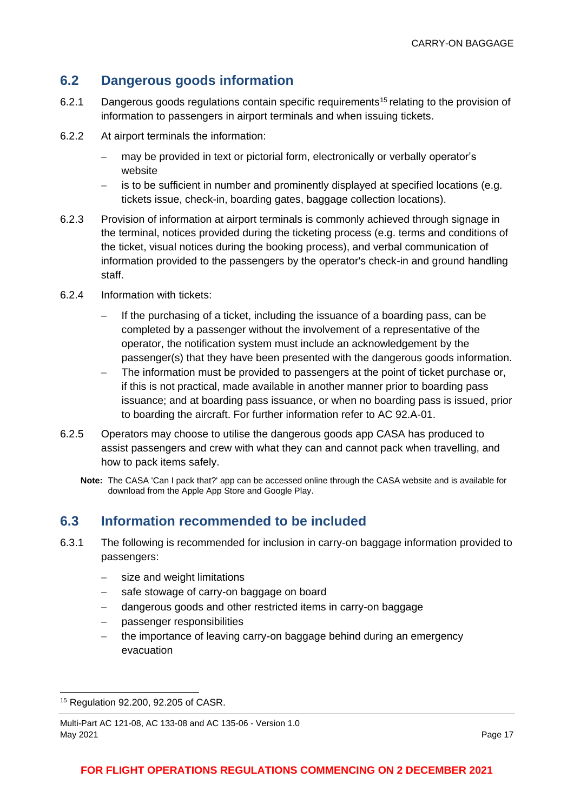#### <span id="page-17-0"></span>**6.2 Dangerous goods information**

- 6.2.1 Dangerous goods regulations contain specific requirements<sup>15</sup> relating to the provision of information to passengers in airport terminals and when issuing tickets.
- 6.2.2 At airport terminals the information:
	- may be provided in text or pictorial form, electronically or verbally operator's website
	- − is to be sufficient in number and prominently displayed at specified locations (e.g. tickets issue, check-in, boarding gates, baggage collection locations).
- 6.2.3 Provision of information at airport terminals is commonly achieved through signage in the terminal, notices provided during the ticketing process (e.g. terms and conditions of the ticket, visual notices during the booking process), and verbal communication of information provided to the passengers by the operator's check-in and ground handling staff.
- 6.2.4 Information with tickets:
	- If the purchasing of a ticket, including the issuance of a boarding pass, can be completed by a passenger without the involvement of a representative of the operator, the notification system must include an acknowledgement by the passenger(s) that they have been presented with the dangerous goods information.
	- The information must be provided to passengers at the point of ticket purchase or, if this is not practical, made available in another manner prior to boarding pass issuance; and at boarding pass issuance, or when no boarding pass is issued, prior to boarding the aircraft. For further information refer to AC 92.A-01.
- 6.2.5 Operators may choose to utilise the dangerous goods app CASA has produced to assist passengers and crew with what they can and cannot pack when travelling, and how to pack items safely.
	- **Note:** The CASA 'Can I pack that?' app can be accessed online through the CASA website and is available for download from the Apple App Store and Google Play.

#### <span id="page-17-1"></span>**6.3 Information recommended to be included**

- 6.3.1 The following is recommended for inclusion in carry-on baggage information provided to passengers:
	- size and weight limitations
	- safe stowage of carry-on baggage on board
	- − dangerous goods and other restricted items in carry-on baggage
	- − passenger responsibilities
	- the importance of leaving carry-on baggage behind during an emergency evacuation

<sup>15</sup> Regulation 92.200, 92.205 of CASR.

Multi-Part AC 121-08, AC 133-08 and AC 135-06 - Version 1.0 May 2021 Page 17 (1992) 20: The Second Second Second Second Second Second Second Second Second Second Second Second Second Second Second Second Second Second Second Second Second Second Second Second Second Second Second S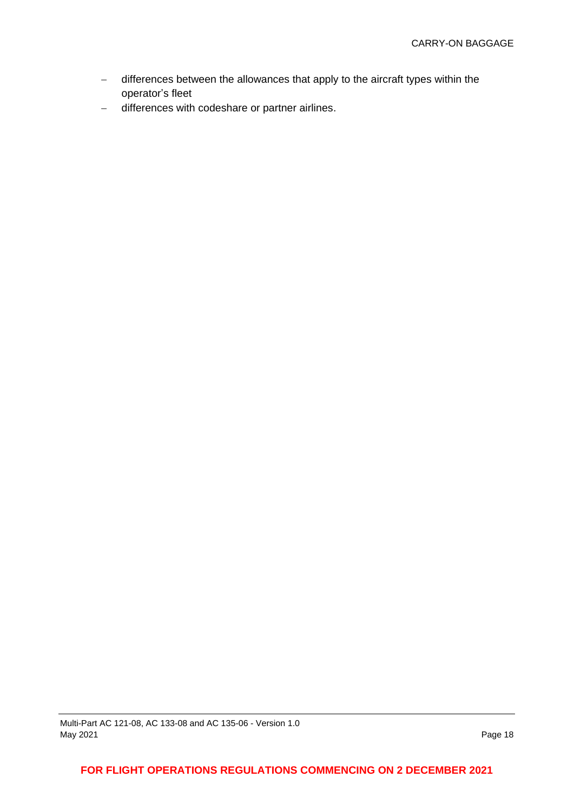- − differences between the allowances that apply to the aircraft types within the operator's fleet
- − differences with codeshare or partner airlines.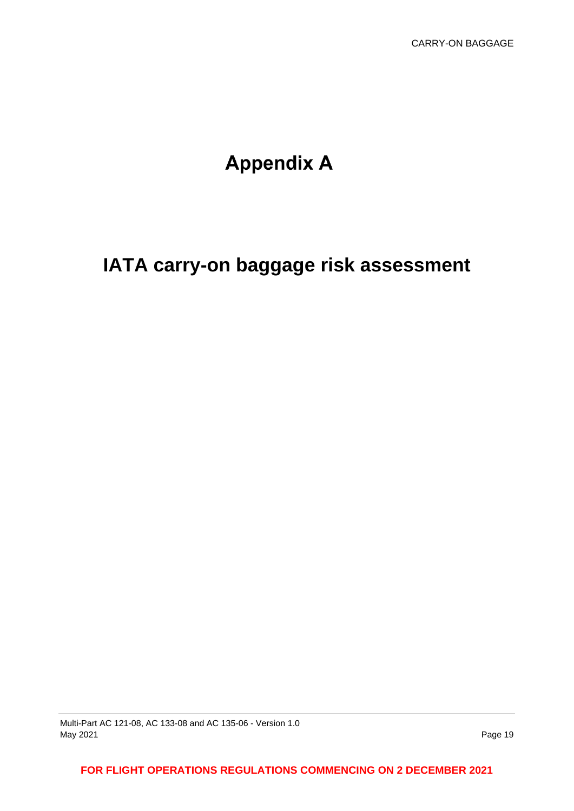# **Appendix A**

# **IATA carry-on baggage risk assessment**

**FOR FLIGHT OPERATIONS REGULATIONS COMMENCING ON 2 DECEMBER 2021**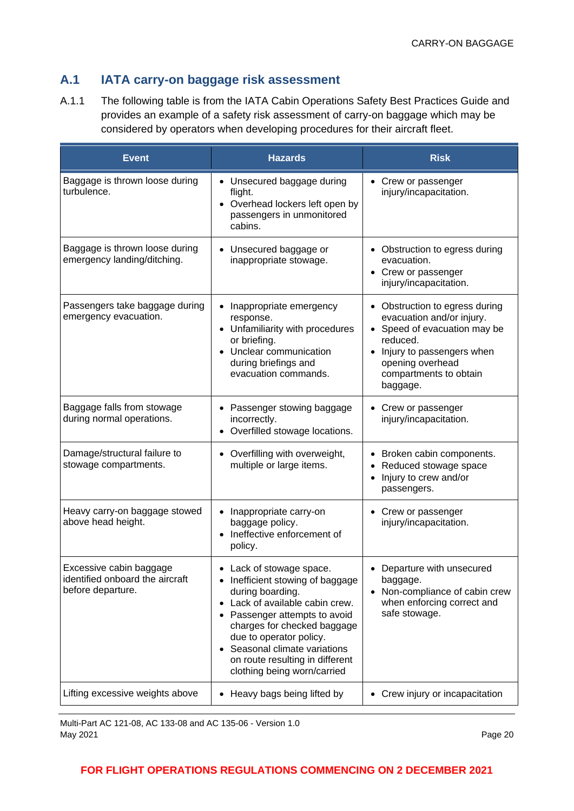#### **A.1 IATA carry-on baggage risk assessment**

A.1.1 The following table is from the IATA Cabin Operations Safety Best Practices Guide and provides an example of a safety risk assessment of carry-on baggage which may be considered by operators when developing procedures for their aircraft fleet.

| <b>Event</b>                                                                    | <b>Hazards</b>                                                                                                                                                                                                                                                                                                                      | <b>Risk</b>                                                                                                                                                                                      |
|---------------------------------------------------------------------------------|-------------------------------------------------------------------------------------------------------------------------------------------------------------------------------------------------------------------------------------------------------------------------------------------------------------------------------------|--------------------------------------------------------------------------------------------------------------------------------------------------------------------------------------------------|
| Baggage is thrown loose during<br>turbulence.                                   | • Unsecured baggage during<br>flight.<br>• Overhead lockers left open by<br>passengers in unmonitored<br>cabins.                                                                                                                                                                                                                    | Crew or passenger<br>injury/incapacitation.                                                                                                                                                      |
| Baggage is thrown loose during<br>emergency landing/ditching.                   | Unsecured baggage or<br>inappropriate stowage.                                                                                                                                                                                                                                                                                      | Obstruction to egress during<br>evacuation.<br>• Crew or passenger<br>injury/incapacitation.                                                                                                     |
| Passengers take baggage during<br>emergency evacuation.                         | Inappropriate emergency<br>$\bullet$<br>response.<br>• Unfamiliarity with procedures<br>or briefing.<br>Unclear communication<br>during briefings and<br>evacuation commands.                                                                                                                                                       | • Obstruction to egress during<br>evacuation and/or injury.<br>• Speed of evacuation may be<br>reduced.<br>• Injury to passengers when<br>opening overhead<br>compartments to obtain<br>baggage. |
| Baggage falls from stowage<br>during normal operations.                         | Passenger stowing baggage<br>incorrectly.<br>Overfilled stowage locations.                                                                                                                                                                                                                                                          | Crew or passenger<br>$\bullet$<br>injury/incapacitation.                                                                                                                                         |
| Damage/structural failure to<br>stowage compartments.                           | Overfilling with overweight,<br>multiple or large items.                                                                                                                                                                                                                                                                            | • Broken cabin components.<br>Reduced stowage space<br>Injury to crew and/or<br>$\bullet$<br>passengers.                                                                                         |
| Heavy carry-on baggage stowed<br>above head height.                             | Inappropriate carry-on<br>$\bullet$<br>baggage policy.<br>Ineffective enforcement of<br>policy.                                                                                                                                                                                                                                     | • Crew or passenger<br>injury/incapacitation.                                                                                                                                                    |
| Excessive cabin baggage<br>identified onboard the aircraft<br>before departure. | • Lack of stowage space.<br>Inefficient stowing of baggage<br>during boarding.<br>Lack of available cabin crew.<br>$\bullet$<br>Passenger attempts to avoid<br>charges for checked baggage<br>due to operator policy.<br>Seasonal climate variations<br>$\bullet$<br>on route resulting in different<br>clothing being worn/carried | Departure with unsecured<br>baggage.<br>Non-compliance of cabin crew<br>when enforcing correct and<br>safe stowage.                                                                              |
| Lifting excessive weights above                                                 | • Heavy bags being lifted by                                                                                                                                                                                                                                                                                                        | Crew injury or incapacitation<br>$\bullet$                                                                                                                                                       |

Multi-Part AC 121-08, AC 133-08 and AC 135-06 - Version 1.0 May 2021 Page 20